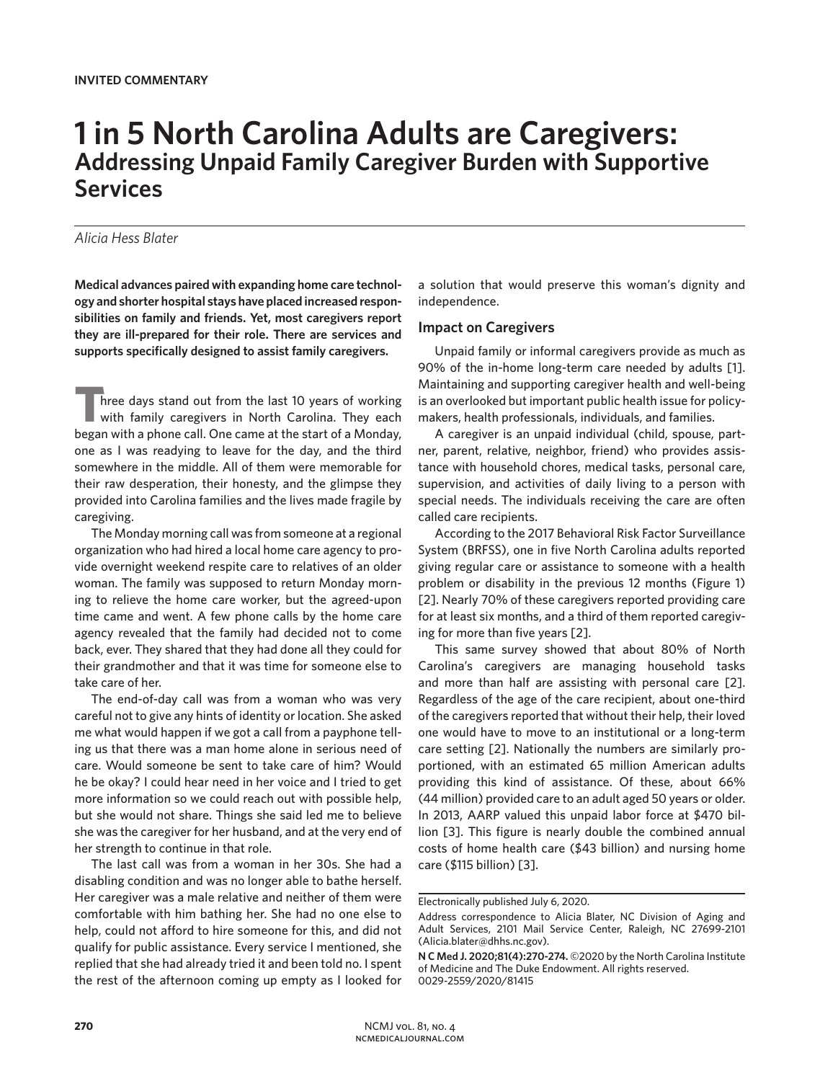# **1 in 5 North Carolina Adults are Caregivers: Addressing Unpaid Family Caregiver Burden with Supportive Services**

## *Alicia Hess Blater*

**Medical advances paired with expanding home care technology and shorter hospital stays have placed increased responsibilities on family and friends. Yet, most caregivers report they are ill-prepared for their role. There are services and supports specifically designed to assist family caregivers.**

**T**hree days stand out from the last 10 years of working with family caregivers in North Carolina. They each began with a phone call. One came at the start of a Monday, one as I was readying to leave for the day, and the third somewhere in the middle. All of them were memorable for their raw desperation, their honesty, and the glimpse they provided into Carolina families and the lives made fragile by caregiving.

The Monday morning call was from someone at a regional organization who had hired a local home care agency to provide overnight weekend respite care to relatives of an older woman. The family was supposed to return Monday morning to relieve the home care worker, but the agreed-upon time came and went. A few phone calls by the home care agency revealed that the family had decided not to come back, ever. They shared that they had done all they could for their grandmother and that it was time for someone else to take care of her.

The end-of-day call was from a woman who was very careful not to give any hints of identity or location. She asked me what would happen if we got a call from a payphone telling us that there was a man home alone in serious need of care. Would someone be sent to take care of him? Would he be okay? I could hear need in her voice and I tried to get more information so we could reach out with possible help, but she would not share. Things she said led me to believe she was the caregiver for her husband, and at the very end of her strength to continue in that role.

The last call was from a woman in her 30s. She had a disabling condition and was no longer able to bathe herself. Her caregiver was a male relative and neither of them were comfortable with him bathing her. She had no one else to help, could not afford to hire someone for this, and did not qualify for public assistance. Every service I mentioned, she replied that she had already tried it and been told no. I spent the rest of the afternoon coming up empty as I looked for

a solution that would preserve this woman's dignity and independence.

#### **Impact on Caregivers**

Unpaid family or informal caregivers provide as much as 90% of the in-home long-term care needed by adults [1]. Maintaining and supporting caregiver health and well-being is an overlooked but important public health issue for policymakers, health professionals, individuals, and families.

A caregiver is an unpaid individual (child, spouse, partner, parent, relative, neighbor, friend) who provides assistance with household chores, medical tasks, personal care, supervision, and activities of daily living to a person with special needs. The individuals receiving the care are often called care recipients.

According to the 2017 Behavioral Risk Factor Surveillance System (BRFSS), one in five North Carolina adults reported giving regular care or assistance to someone with a health problem or disability in the previous 12 months (Figure 1) [2]. Nearly 70% of these caregivers reported providing care for at least six months, and a third of them reported caregiving for more than five years [2].

This same survey showed that about 80% of North Carolina's caregivers are managing household tasks and more than half are assisting with personal care [2]. Regardless of the age of the care recipient, about one-third of the caregivers reported that without their help, their loved one would have to move to an institutional or a long-term care setting [2]. Nationally the numbers are similarly proportioned, with an estimated 65 million American adults providing this kind of assistance. Of these, about 66% (44 million) provided care to an adult aged 50 years or older. In 2013, AARP valued this unpaid labor force at \$470 billion [3]. This figure is nearly double the combined annual costs of home health care (\$43 billion) and nursing home care (\$115 billion) [3].

Electronically published July 6, 2020.

Address correspondence to Alicia Blater, NC Division of Aging and Adult Services, 2101 Mail Service Center, Raleigh, NC 27699-2101 (Alicia.blater@dhhs.nc.gov).

**N C Med J. 2020;81(4):270-274.** ©2020 by the North Carolina Institute of Medicine and The Duke Endowment. All rights reserved. 0029-2559/2020/81415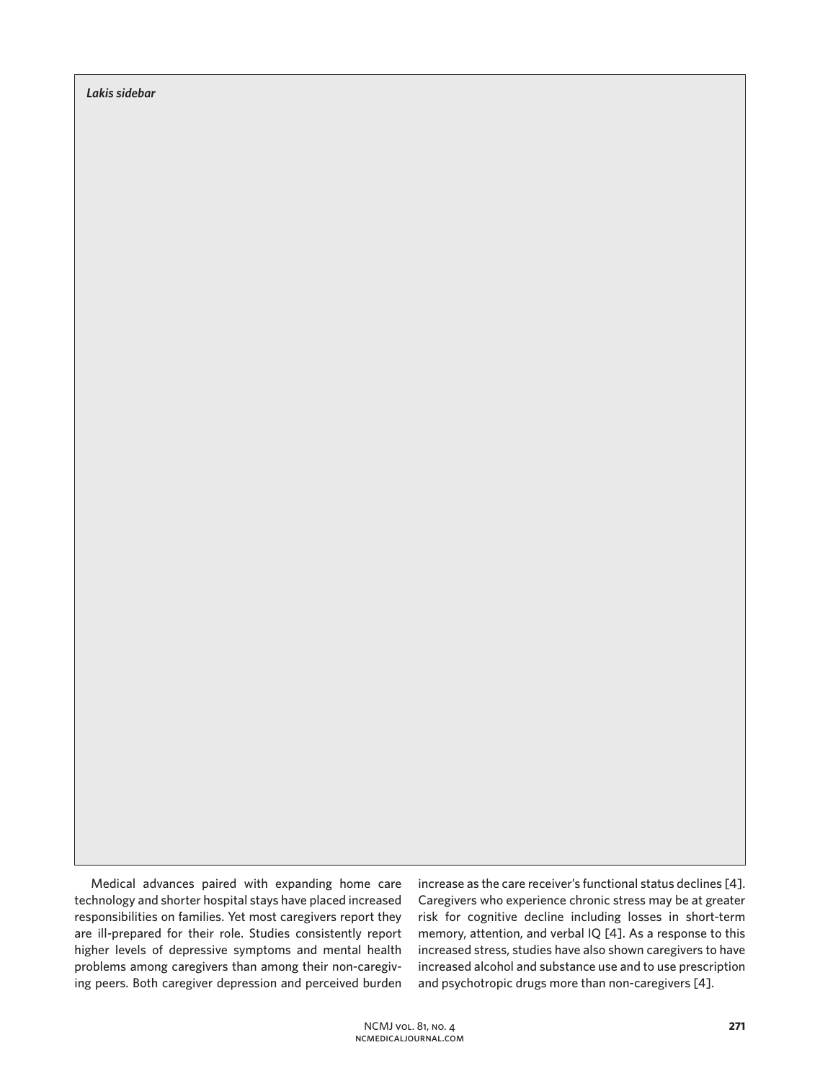*Lakis sidebar*

Medical advances paired with expanding home care technology and shorter hospital stays have placed increased responsibilities on families. Yet most caregivers report they are ill-prepared for their role. Studies consistently report higher levels of depressive symptoms and mental health problems among caregivers than among their non-caregiving peers. Both caregiver depression and perceived burden

increase as the care receiver's functional status declines [4]. Caregivers who experience chronic stress may be at greater risk for cognitive decline including losses in short-term memory, attention, and verbal IQ [4]. As a response to this increased stress, studies have also shown caregivers to have increased alcohol and substance use and to use prescription and psychotropic drugs more than non-caregivers [4].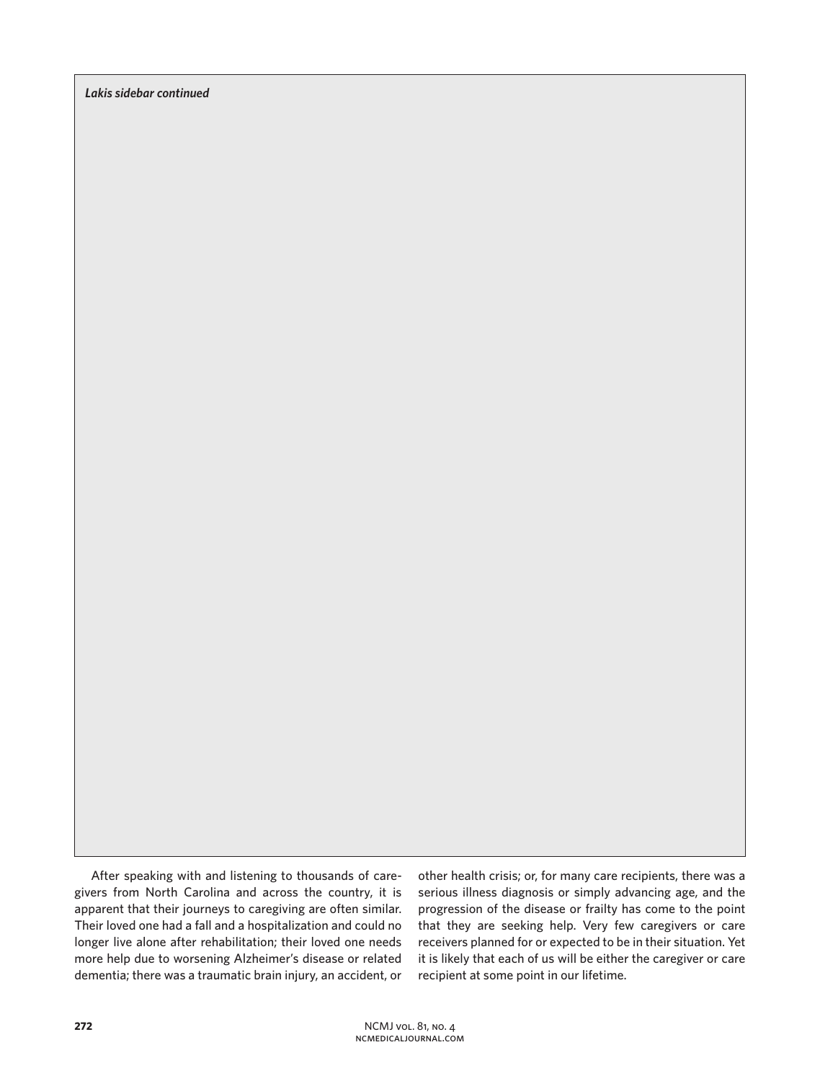*Lakis sidebar continued*

After speaking with and listening to thousands of caregivers from North Carolina and across the country, it is apparent that their journeys to caregiving are often similar. Their loved one had a fall and a hospitalization and could no longer live alone after rehabilitation; their loved one needs more help due to worsening Alzheimer's disease or related dementia; there was a traumatic brain injury, an accident, or

other health crisis; or, for many care recipients, there was a serious illness diagnosis or simply advancing age, and the progression of the disease or frailty has come to the point that they are seeking help. Very few caregivers or care receivers planned for or expected to be in their situation. Yet it is likely that each of us will be either the caregiver or care recipient at some point in our lifetime.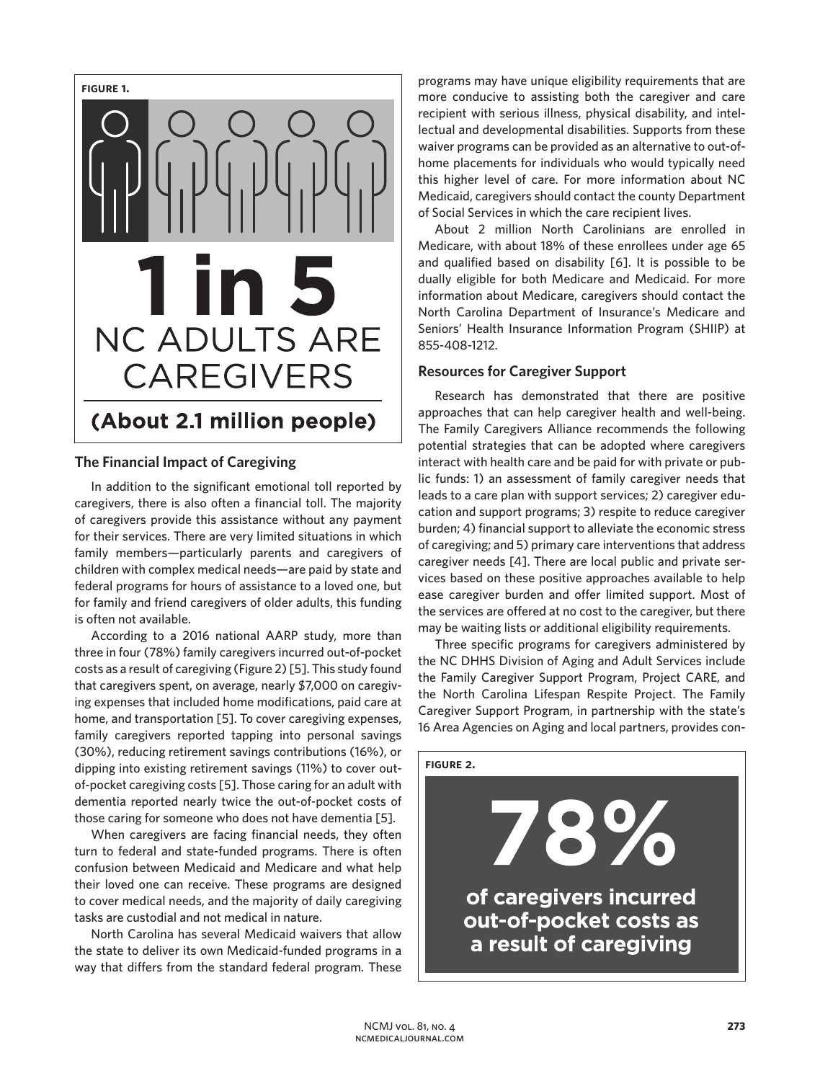

## **The Financial Impact of Caregiving**

In addition to the significant emotional toll reported by caregivers, there is also often a financial toll. The majority of caregivers provide this assistance without any payment for their services. There are very limited situations in which family members—particularly parents and caregivers of children with complex medical needs—are paid by state and federal programs for hours of assistance to a loved one, but for family and friend caregivers of older adults, this funding is often not available.

According to a 2016 national AARP study, more than three in four (78%) family caregivers incurred out-of-pocket costs as a result of caregiving (Figure 2) [5]. This study found that caregivers spent, on average, nearly \$7,000 on caregiving expenses that included home modifications, paid care at home, and transportation [5]. To cover caregiving expenses, family caregivers reported tapping into personal savings (30%), reducing retirement savings contributions (16%), or dipping into existing retirement savings (11%) to cover outof-pocket caregiving costs [5]. Those caring for an adult with dementia reported nearly twice the out-of-pocket costs of those caring for someone who does not have dementia [5].

When caregivers are facing financial needs, they often turn to federal and state-funded programs. There is often confusion between Medicaid and Medicare and what help their loved one can receive. These programs are designed to cover medical needs, and the majority of daily caregiving tasks are custodial and not medical in nature.

North Carolina has several Medicaid waivers that allow the state to deliver its own Medicaid-funded programs in a way that differs from the standard federal program. These

programs may have unique eligibility requirements that are more conducive to assisting both the caregiver and care recipient with serious illness, physical disability, and intellectual and developmental disabilities. Supports from these waiver programs can be provided as an alternative to out-ofhome placements for individuals who would typically need this higher level of care. For more information about NC Medicaid, caregivers should contact the county Department of Social Services in which the care recipient lives.

About 2 million North Carolinians are enrolled in Medicare, with about 18% of these enrollees under age 65 and qualified based on disability [6]. It is possible to be dually eligible for both Medicare and Medicaid. For more information about Medicare, caregivers should contact the North Carolina Department of Insurance's Medicare and Seniors' Health Insurance Information Program (SHIIP) at 855-408-1212.

### **Resources for Caregiver Support**

Research has demonstrated that there are positive approaches that can help caregiver health and well-being. The Family Caregivers Alliance recommends the following potential strategies that can be adopted where caregivers interact with health care and be paid for with private or public funds: 1) an assessment of family caregiver needs that leads to a care plan with support services; 2) caregiver education and support programs; 3) respite to reduce caregiver burden; 4) financial support to alleviate the economic stress of caregiving; and 5) primary care interventions that address caregiver needs [4]. There are local public and private services based on these positive approaches available to help ease caregiver burden and offer limited support. Most of the services are offered at no cost to the caregiver, but there may be waiting lists or additional eligibility requirements.

Three specific programs for caregivers administered by the NC DHHS Division of Aging and Adult Services include the Family Caregiver Support Program, Project CARE, and the North Carolina Lifespan Respite Project. The Family Caregiver Support Program, in partnership with the state's 16 Area Agencies on Aging and local partners, provides con-